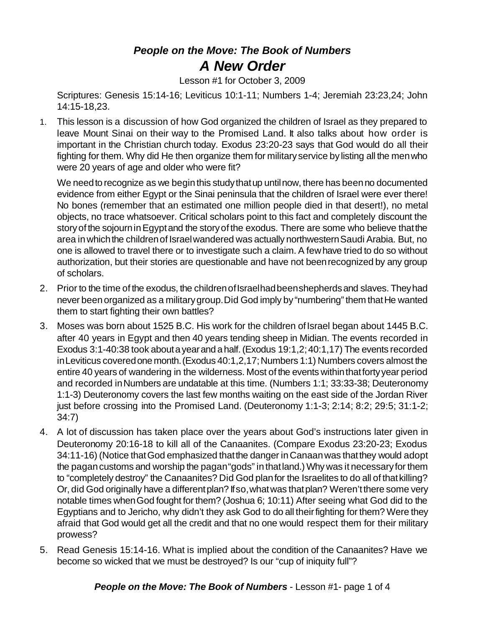## *People on the Move: The Book of Numbers A New Order*

Lesson #1 for October 3, 2009

Scriptures: Genesis 15:14-16; Leviticus 10:1-11; Numbers 1-4; Jeremiah 23:23,24; John 14:15-18,23.

1. This lesson is a discussion of how God organized the children of Israel as they prepared to leave Mount Sinai on their way to the Promised Land. It also talks about how order is important in the Christian church today. Exodus 23:20-23 says that God would do all their fighting for them. Why did He then organize them for militaryservice by listing all the menwho were 20 years of age and older who were fit?

We need to recognize as we begin this study that up until now, there has been no documented evidence from either Egypt or the Sinai peninsula that the children of Israel were ever there! No bones (remember that an estimated one million people died in that desert!), no metal objects, no trace whatsoever. Critical scholars point to this fact and completely discount the story of the sojourn in Egypt and the story of the exodus. There are some who believe that the area in which the children of Israel wandered was actually northwestern Saudi Arabia. But, no one is allowed to travel there or to investigate such a claim. A fewhave tried to do so without authorization, but their stories are questionable and have not beenrecognized by any group of scholars.

- 2. Prior to the time of the exodus, the children of Israelhad been shepherds and slaves. They had never been organized as a military group. Did God imply by "numbering" them that He wanted them to start fighting their own battles?
- 3. Moses was born about 1525 B.C. His work for the children of Israel began about 1445 B.C. after 40 years in Egypt and then 40 years tending sheep in Midian. The events recorded in Exodus 3:1-40:38 took aboutayearand ahalf.(Exodus 19:1,2;40:1,17) The events recorded in Leviticus covered one month. (Exodus 40:1,2,17; Numbers 1:1) Numbers covers almost the entire 40 years of wandering in the wilderness. Most of the events within that forty year period and recorded inNumbers are undatable at this time. (Numbers 1:1; 33:33-38; Deuteronomy 1:1-3) Deuteronomy covers the last few months waiting on the east side of the Jordan River just before crossing into the Promised Land. (Deuteronomy 1:1-3; 2:14; 8:2; 29:5; 31:1-2; 34:7)
- 4. A lot of discussion has taken place over the years about God's instructions later given in Deuteronomy 20:16-18 to kill all of the Canaanites. (Compare Exodus 23:20-23; Exodus 34:11-16) (Notice thatGod emphasized thatthe danger inCanaanwas thatthey would adopt the pagancustoms and worship the pagan"gods" in thatland.) Why was it necessaryfor them to "completely destroy" the Canaanites? Did God planfor the Israelites to do all of thatkilling? Or, did God originally have a differentplan? Ifso,whatwas thatplan? Weren'tthere some very notable times whenGod fought for them? (Joshua 6; 10:11) After seeing what God did to the Egyptians and to Jericho, why didn't they ask God to do all theirfighting for them? Were they afraid that God would get all the credit and that no one would respect them for their military prowess?
- 5. Read Genesis 15:14-16. What is implied about the condition of the Canaanites? Have we become so wicked that we must be destroyed? Is our "cup of iniquity full"?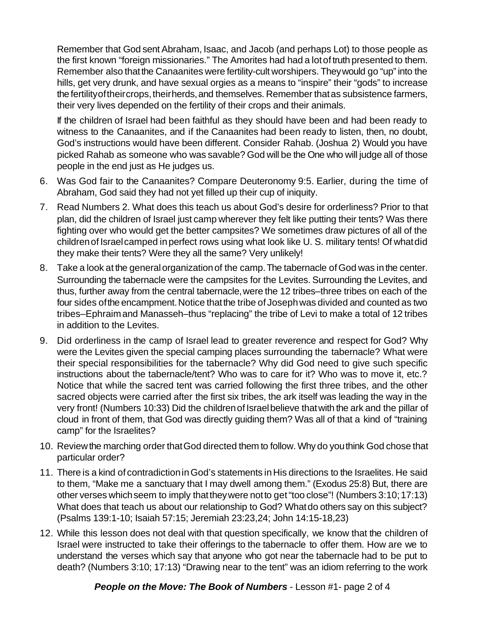Remember that God sent Abraham, Isaac, and Jacob (and perhaps Lot) to those people as the first known "foreign missionaries." The Amorites had had a lotof truth presented to them. Remember also that the Canaanites were fertility-cult worshipers. They would go "up" into the hills, get very drunk, and have sexual orgies as a means to "inspire" their "gods" to increase the fertility of their crops, their herds, and themselves. Remember that as subsistence farmers, their very lives depended on the fertility of their crops and their animals.

If the children of Israel had been faithful as they should have been and had been ready to witness to the Canaanites, and if the Canaanites had been ready to listen, then, no doubt, God's instructions would have been different. Consider Rahab. (Joshua 2) Would you have picked Rahab as someone who was savable? God will be the One who will judge all of those people in the end just as He judges us.

- 6. Was God fair to the Canaanites? Compare Deuteronomy 9:5. Earlier, during the time of Abraham, God said they had not yet filled up their cup of iniquity.
- 7. Read Numbers 2. What does this teach us about God's desire for orderliness? Prior to that plan, did the children of Israel just camp wherever they felt like putting their tents? Was there fighting over who would get the better campsites? We sometimes draw pictures of all of the childrenof Israelcamped in perfect rows using what look like U. S. military tents! Of whatdid they make their tents? Were they all the same? Very unlikely!
- 8. Take a look at the general organization of the camp. The tabernacle of God was in the center. Surrounding the tabernacle were the campsites for the Levites. Surrounding the Levites, and thus, further away from the central tabernacle,were the 12 tribes–three tribes on each of the four sides of the encampment. Notice that the tribe of Joseph was divided and counted as two tribes–Ephraimand Manasseh–thus "replacing" the tribe of Levi to make a total of 12 tribes in addition to the Levites.
- 9. Did orderliness in the camp of Israel lead to greater reverence and respect for God? Why were the Levites given the special camping places surrounding the tabernacle? What were their special responsibilities for the tabernacle? Why did God need to give such specific instructions about the tabernacle/tent? Who was to care for it? Who was to move it, etc.? Notice that while the sacred tent was carried following the first three tribes, and the other sacred objects were carried after the first six tribes, the ark itself was leading the way in the very front! (Numbers 10:33) Did the children of Israel believe that with the ark and the pillar of cloud in front of them, that God was directly guiding them? Was all of that a kind of "training camp" for the Israelites?
- 10. Reviewthe marching order thatGod directed them to follow. Why do youthink God chose that particular order?
- 11. There is a kind of contradiction in God's statements in His directions to the Israelites. He said to them, "Make me a sanctuary that I may dwell among them." (Exodus 25:8) But, there are other verses which seem to imply that they were not to get "too close"! (Numbers 3:10; 17:13) What does that teach us about our relationship to God? Whatdo others say on this subject? (Psalms 139:1-10; Isaiah 57:15; Jeremiah 23:23,24; John 14:15-18,23)
- 12. While this lesson does not deal with that question specifically, we know that the children of Israel were instructed to take their offerings to the tabernacle to offer them. How are we to understand the verses which say that anyone who got near the tabernacle had to be put to death? (Numbers 3:10; 17:13) "Drawing near to the tent" was an idiom referring to the work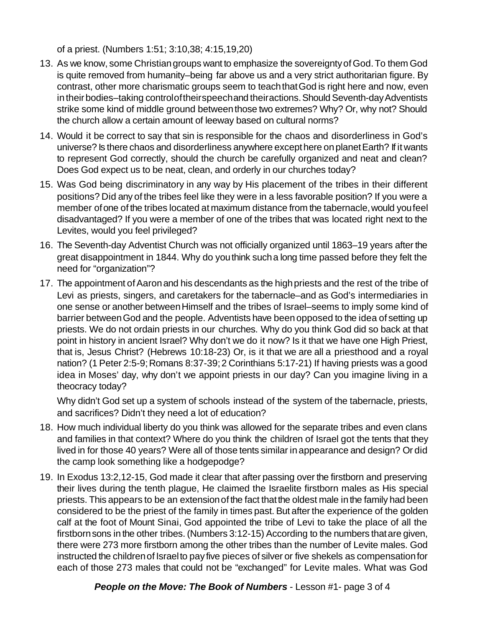of a priest. (Numbers 1:51; 3:10,38; 4:15,19,20)

- 13. As we know, some Christian groups want to emphasize the sovereignty of God. To them God is quite removed from humanity–being far above us and a very strict authoritarian figure. By contrast, other more charismatic groups seem to teachthatGod is right here and now, even in their bodies–taking controlof theirspeechand theiractions. Should Seventh-day Adventists strike some kind of middle ground between those two extremes? Why? Or, why not? Should the church allow a certain amount of leeway based on cultural norms?
- 14. Would it be correct to say that sin is responsible for the chaos and disorderliness in God's universe? Is there chaos and disorderliness anywhere except here on planet Earth? If it wants to represent God correctly, should the church be carefully organized and neat and clean? Does God expect us to be neat, clean, and orderly in our churches today?
- 15. Was God being discriminatory in any way by His placement of the tribes in their different positions? Did any of the tribes feel like they were in a less favorable position? If you were a member of one of the tribes located at maximum distance from the tabernacle, would you feel disadvantaged? If you were a member of one of the tribes that was located right next to the Levites, would you feel privileged?
- 16. The Seventh-day Adventist Church was not officially organized until 1863–19 years after the great disappointment in 1844. Why do youthink sucha long time passed before they felt the need for "organization"?
- 17. The appointment of Aaron and his descendants as the high priests and the rest of the tribe of Levi as priests, singers, and caretakers for the tabernacle–and as God's intermediaries in one sense or another between Himself and the tribes of Israel–seems to imply some kind of barrier betweenGod and the people. Adventists have beenopposed to the idea of setting up priests. We do not ordain priests in our churches. Why do you think God did so back at that point in history in ancient Israel? Why don't we do it now? Is it that we have one High Priest, that is, Jesus Christ? (Hebrews 10:18-23) Or, is it that we are all a priesthood and a royal nation? (1 Peter 2:5-9; Romans 8:37-39; 2 Corinthians 5:17-21) If having priests was a good idea in Moses' day, why don't we appoint priests in our day? Can you imagine living in a theocracy today?

Why didn't God set up a system of schools instead of the system of the tabernacle, priests, and sacrifices? Didn't they need a lot of education?

- 18. How much individual liberty do you think was allowed for the separate tribes and even clans and families in that context? Where do you think the children of Israel got the tents that they lived in for those 40 years? Were all of those tents similar in appearance and design? Or did the camp look something like a hodgepodge?
- 19. In Exodus 13:2,12-15, God made it clear that after passing over the firstborn and preserving their lives during the tenth plague, He claimed the Israelite firstborn males as His special priests. This appears to be an extensionof the fact thatthe oldest male in the family had been considered to be the priest of the family in times past. But after the experience of the golden calf at the foot of Mount Sinai, God appointed the tribe of Levi to take the place of all the firstbornsons in the other tribes. (Numbers 3:12-15) According to the numbers thatare given, there were 273 more firstborn among the other tribes than the number of Levite males. God instructed the children of Israel to pay five pieces of silver or five shekels as compensation for each of those 273 males that could not be "exchanged" for Levite males. What was God

*People on the Move: The Book of Numbers* - Lesson #1- page 3 of 4